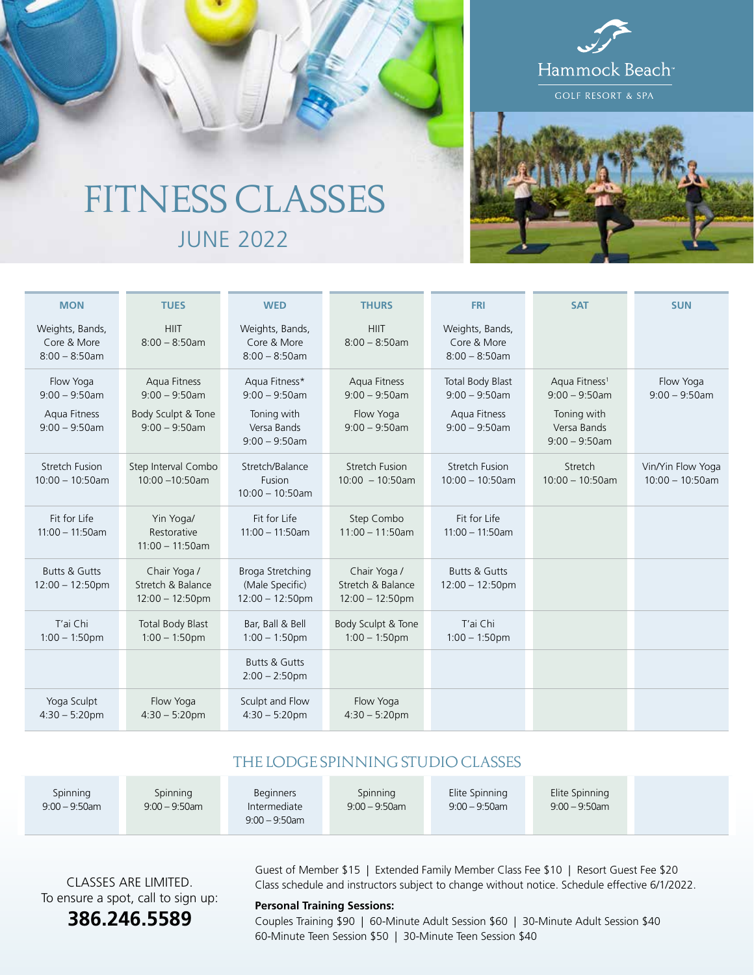

# FITNESS CLASSES JUNE 2022

| <b>MON</b>                                                        | <b>TUES</b>                                                                | <b>WED</b>                                                                          | <b>THURS</b>                                                      | <b>FRI</b>                                                                      | <b>SAT</b>                                                                                      | <b>SUN</b>                              |
|-------------------------------------------------------------------|----------------------------------------------------------------------------|-------------------------------------------------------------------------------------|-------------------------------------------------------------------|---------------------------------------------------------------------------------|-------------------------------------------------------------------------------------------------|-----------------------------------------|
| Weights, Bands,<br>Core & More<br>$8:00 - 8:50$ am                | <b>HIIT</b><br>$8:00 - 8:50$ am                                            | Weights, Bands,<br>Core & More<br>$8:00 - 8:50$ am                                  | <b>HIIT</b><br>$8:00 - 8:50$ am                                   | Weights, Bands,<br>Core & More<br>$8:00 - 8:50$ am                              |                                                                                                 |                                         |
| Flow Yoga<br>$9:00 - 9:50$ am<br>Aqua Fitness<br>$9:00 - 9:50$ am | Aqua Fitness<br>$9:00 - 9:50$ am<br>Body Sculpt & Tone<br>$9:00 - 9:50$ am | Aqua Fitness*<br>$9:00 - 9:50$ am<br>Toning with<br>Versa Bands<br>$9:00 - 9:50$ am | Aqua Fitness<br>$9:00 - 9:50$ am<br>Flow Yoga<br>$9:00 - 9:50$ am | <b>Total Body Blast</b><br>$9:00 - 9:50$ am<br>Aqua Fitness<br>$9:00 - 9:50$ am | Aqua Fitness <sup>1</sup><br>$9:00 - 9:50$ am<br>Toning with<br>Versa Bands<br>$9:00 - 9:50$ am | Flow Yoga<br>$9:00 - 9:50$ am           |
| <b>Stretch Fusion</b><br>$10:00 - 10:50$ am                       | Step Interval Combo<br>10:00 -10:50am                                      | Stretch/Balance<br>Fusion<br>$10:00 - 10:50$ am                                     | <b>Stretch Fusion</b><br>$10:00 - 10:50$ am                       | <b>Stretch Fusion</b><br>$10:00 - 10:50am$                                      | Stretch<br>$10:00 - 10:50$ am                                                                   | Vin/Yin Flow Yoga<br>$10:00 - 10:50$ am |
| Fit for Life<br>$11:00 - 11:50$ am                                | Yin Yoga/<br>Restorative<br>$11:00 - 11:50$ am                             | Fit for Life<br>$11:00 - 11:50$ am                                                  | Step Combo<br>$11:00 - 11:50$ am                                  | Fit for Life<br>$11:00 - 11:50$ am                                              |                                                                                                 |                                         |
| <b>Butts &amp; Gutts</b><br>$12:00 - 12:50$ pm                    | Chair Yoga /<br>Stretch & Balance<br>$12:00 - 12:50 \text{pm}$             | Broga Stretching<br>(Male Specific)<br>$12:00 - 12:50$ pm                           | Chair Yoga /<br>Stretch & Balance<br>$12:00 - 12:50$ pm           | <b>Butts &amp; Gutts</b><br>$12:00 - 12:50$ pm                                  |                                                                                                 |                                         |
| T'ai Chi<br>$1:00 - 1:50$ pm                                      | <b>Total Body Blast</b><br>$1:00 - 1:50$ pm                                | Bar, Ball & Bell<br>$1:00 - 1:50$ pm                                                | Body Sculpt & Tone<br>$1:00 - 1:50$ pm                            | T'ai Chi<br>$1:00 - 1:50$ pm                                                    |                                                                                                 |                                         |
|                                                                   |                                                                            | <b>Butts &amp; Gutts</b><br>$2:00 - 2:50$ pm                                        |                                                                   |                                                                                 |                                                                                                 |                                         |
| Yoga Sculpt<br>$4:30 - 5:20$ pm                                   | Flow Yoga<br>$4:30 - 5:20$ pm                                              | Sculpt and Flow<br>$4:30 - 5:20$ pm                                                 | Flow Yoga<br>$4:30 - 5:20$ pm                                     |                                                                                 |                                                                                                 |                                         |

### THE LODGE SPINNING STUDIO CLASSES

| Spinning<br>Spinning<br>Spinning<br>Beginners<br>$9:00 - 9:50$ am<br>$9:00 - 9:50$ am<br>$9:00 - 9:50$ am<br>Intermediate<br>$9:00 - 9:50$ am | Elite Spinning<br>Elite Spinning<br>$9:00 - 9:50$ am<br>$9:00 - 9:50$ am |
|-----------------------------------------------------------------------------------------------------------------------------------------------|--------------------------------------------------------------------------|
|-----------------------------------------------------------------------------------------------------------------------------------------------|--------------------------------------------------------------------------|

CLASSES ARE LIMITED. To ensure a spot, call to sign up:

## **386.246.5589**

Guest of Member \$15 | Extended Family Member Class Fee \$10 | Resort Guest Fee \$20 Class schedule and instructors subject to change without notice. Schedule effective 6/1/2022.

#### **Personal Training Sessions:**

Couples Training \$90 | 60-Minute Adult Session \$60 | 30-Minute Adult Session \$40 60-Minute Teen Session \$50 | 30-Minute Teen Session \$40